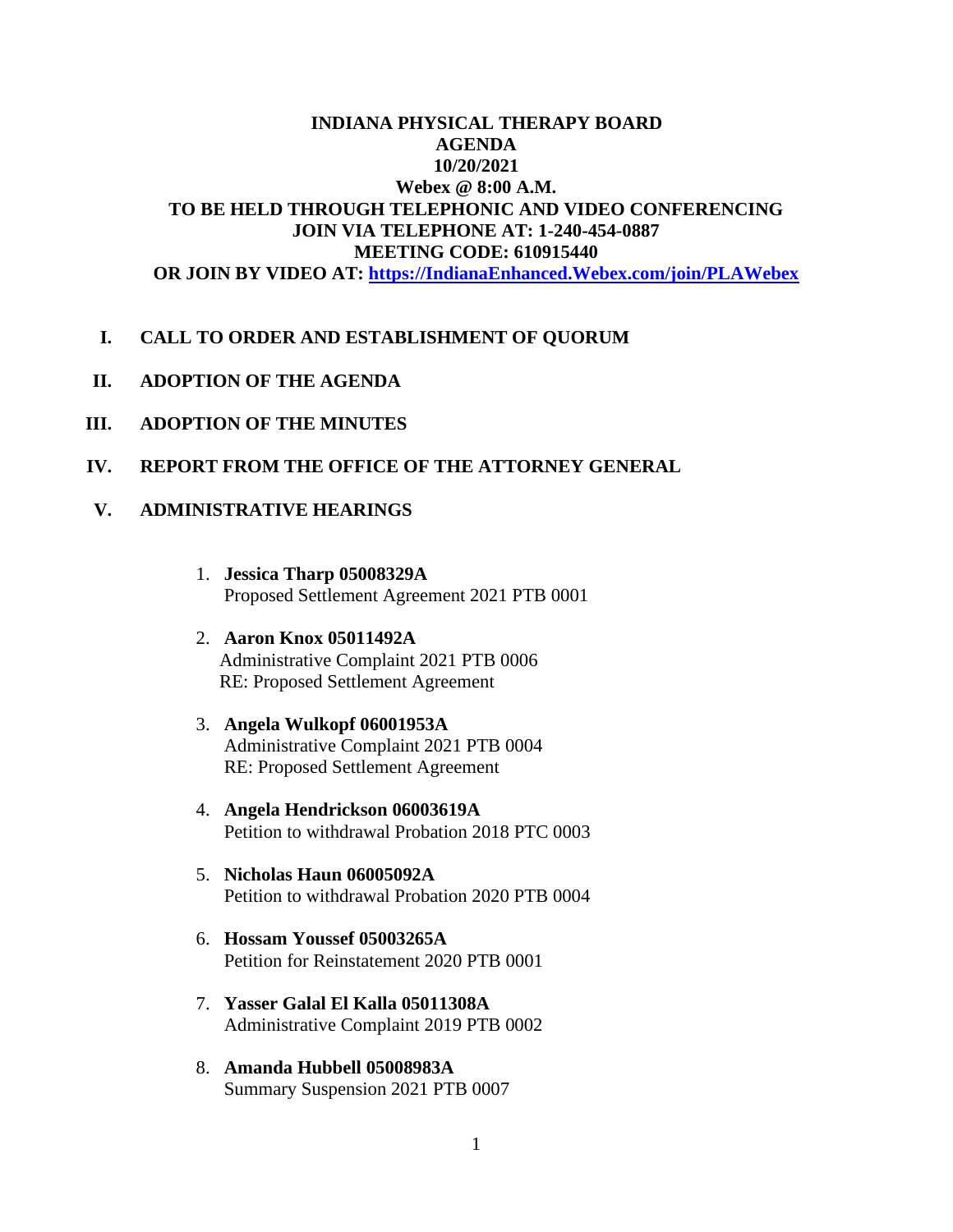## **INDIANA PHYSICAL THERAPY BOARD AGENDA 10/20/2021 Webex @ 8:00 A.M. TO BE HELD THROUGH TELEPHONIC AND VIDEO CONFERENCING JOIN VIA TELEPHONE AT: 1-240-454-0887 MEETING CODE: 610915440 OR JOIN BY VIDEO AT: [https://IndianaEnhanced.Webex.com/join/PLAWebex](https://indianaenhanced.webex.com/join/PLAWebex)**

#### **I. CALL TO ORDER AND ESTABLISHMENT OF QUORUM**

- **II. ADOPTION OF THE AGENDA**
- **III. ADOPTION OF THE MINUTES**
- **IV. REPORT FROM THE OFFICE OF THE ATTORNEY GENERAL**

## **V. ADMINISTRATIVE HEARINGS**

- 1. **Jessica Tharp 05008329A** Proposed Settlement Agreement 2021 PTB 0001
- 2. **Aaron Knox 05011492A** Administrative Complaint 2021 PTB 0006 RE: Proposed Settlement Agreement
- 3. **Angela Wulkopf 06001953A** Administrative Complaint 2021 PTB 0004 RE: Proposed Settlement Agreement
- 4. **Angela Hendrickson 06003619A** Petition to withdrawal Probation 2018 PTC 0003
- 5. **Nicholas Haun 06005092A** Petition to withdrawal Probation 2020 PTB 0004
- 6. **Hossam Youssef 05003265A** Petition for Reinstatement 2020 PTB 0001
- 7. **Yasser Galal El Kalla 05011308A** Administrative Complaint 2019 PTB 0002
- 8. **Amanda Hubbell 05008983A** Summary Suspension 2021 PTB 0007